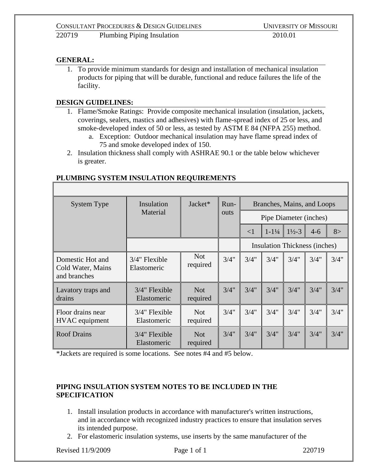## **GENERAL:**

1. To provide minimum standards for design and installation of mechanical insulation products for piping that will be durable, functional and reduce failures the life of the facility.

## **DESIGN GUIDELINES:**

- 1. Flame/Smoke Ratings: Provide composite mechanical insulation (insulation, jackets, coverings, sealers, mastics and adhesives) with flame-spread index of 25 or less, and smoke-developed index of 50 or less, as tested by ASTM E 84 (NFPA 255) method.
	- a. Exception: Outdoor mechanical insulation may have flame spread index of 75 and smoke developed index of 150.
- 2. Insulation thickness shall comply with ASHRAE 90.1 or the table below whichever is greater.

## **PLUMBING SYSTEM INSULATION REQUIREMENTS**

| <b>System Type</b>                                    | Insulation<br>Material          | Jacket*                | Run-<br>outs | Branches, Mains, and Loops |                               |                    |         |      |
|-------------------------------------------------------|---------------------------------|------------------------|--------------|----------------------------|-------------------------------|--------------------|---------|------|
|                                                       |                                 |                        |              | Pipe Diameter (inches)     |                               |                    |         |      |
|                                                       |                                 |                        |              | $\leq$ 1                   | $1 - 1\frac{1}{4}$            | $1\frac{1}{2} - 3$ | $4 - 6$ | 8>   |
|                                                       |                                 |                        |              |                            | Insulation Thickness (inches) |                    |         |      |
| Domestic Hot and<br>Cold Water, Mains<br>and branches | $3/4$ " Flexible<br>Elastomeric | <b>Not</b><br>required | 3/4"         | 3/4"                       | 3/4"                          | 3/4"               | 3/4"    | 3/4" |
| Lavatory traps and<br>drains                          | $3/4$ " Flexible<br>Elastomeric | <b>Not</b><br>required | 3/4"         | 3/4"                       | 3/4"                          | 3/4"               | 3/4"    | 3/4" |
| Floor drains near<br>HVAC equipment                   | $3/4$ " Flexible<br>Elastomeric | <b>Not</b><br>required | 3/4"         | 3/4"                       | 3/4"                          | 3/4"               | 3/4"    | 3/4" |
| <b>Roof Drains</b>                                    | $3/4$ " Flexible<br>Elastomeric | <b>Not</b><br>required | 3/4"         | 3/4"                       | 3/4"                          | 3/4"               | 3/4"    | 3/4" |

\*Jackets are required is some locations. See notes #4 and #5 below.

## **PIPING INSULATION SYSTEM NOTES TO BE INCLUDED IN THE SPECIFICATION**

- 1. Install insulation products in accordance with manufacturer's written instructions, and in accordance with recognized industry practices to ensure that insulation serves its intended purpose.
- 2. For elastomeric insulation systems, use inserts by the same manufacturer of the